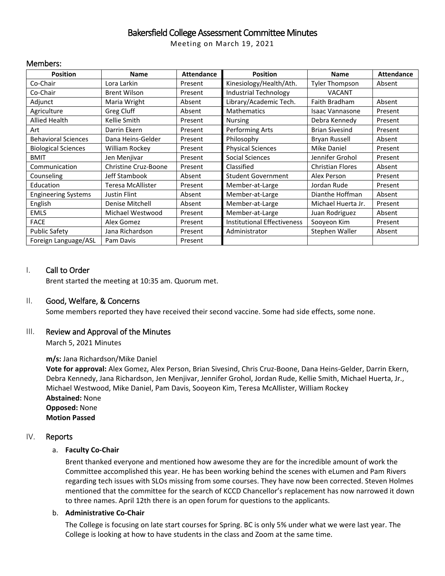# Bakersfield College Assessment Committee Minutes

Meeting on March 19, 2021

### Members:

| <b>Position</b>            | Name                 | <b>Attendance</b> | <b>Position</b>                    | <b>Name</b>             | <b>Attendance</b> |
|----------------------------|----------------------|-------------------|------------------------------------|-------------------------|-------------------|
| Co-Chair                   | Lora Larkin          | Present           | Kinesiology/Health/Ath.            | <b>Tyler Thompson</b>   | Absent            |
| Co-Chair                   | <b>Brent Wilson</b>  | Present           | <b>Industrial Technology</b>       | <b>VACANT</b>           |                   |
| Adjunct                    | Maria Wright         | Absent            | Library/Academic Tech.             | Faith Bradham           | Absent            |
| Agriculture                | Greg Cluff           | Absent            | <b>Mathematics</b>                 | Isaac Vannasone         | Present           |
| <b>Allied Health</b>       | Kellie Smith         | Present           | <b>Nursing</b>                     | Debra Kennedy           | Present           |
| Art                        | Darrin Ekern         | Present           | Performing Arts                    | <b>Brian Sivesind</b>   | Present           |
| <b>Behavioral Sciences</b> | Dana Heins-Gelder    | Present           | Philosophy                         | Bryan Russell           | Absent            |
| <b>Biological Sciences</b> | William Rockey       | Present           | <b>Physical Sciences</b>           | <b>Mike Daniel</b>      | Present           |
| <b>BMIT</b>                | Jen Menjivar         | Present           | Social Sciences                    | Jennifer Grohol         | Present           |
| Communication              | Christine Cruz-Boone | Present           | Classified                         | <b>Christian Flores</b> | Absent            |
| Counseling                 | Jeff Stambook        | Absent            | <b>Student Government</b>          | Alex Person             | Present           |
| Education                  | Teresa McAllister    | Present           | Member-at-Large                    | Jordan Rude             | Present           |
| <b>Engineering Systems</b> | Justin Flint         | Absent            | Member-at-Large                    | Dianthe Hoffman         | Absent            |
| English                    | Denise Mitchell      | Absent            | Member-at-Large                    | Michael Huerta Jr.      | Present           |
| <b>EMLS</b>                | Michael Westwood     | Present           | Member-at-Large                    | Juan Rodriguez          | Absent            |
| <b>FACE</b>                | Alex Gomez           | Present           | <b>Institutional Effectiveness</b> | Sooyeon Kim             | Present           |
| <b>Public Safety</b>       | Jana Richardson      | Present           | Administrator                      | Stephen Waller          | Absent            |
| Foreign Language/ASL       | Pam Davis            | Present           |                                    |                         |                   |

### I. Call to Order

Brent started the meeting at 10:35 am. Quorum met.

### II. Good, Welfare, & Concerns

Some members reported they have received their second vaccine. Some had side effects, some none.

## III. Review and Approval of the Minutes

March 5, 2021 Minutes

### **m/s:** Jana Richardson/Mike Daniel

**Vote for approval:** Alex Gomez, Alex Person, Brian Sivesind, Chris Cruz-Boone, Dana Heins-Gelder, Darrin Ekern, Debra Kennedy, Jana Richardson, Jen Menjivar, Jennifer Grohol, Jordan Rude, Kellie Smith, Michael Huerta, Jr., Michael Westwood, Mike Daniel, Pam Davis, Sooyeon Kim, Teresa McAllister, William Rockey **Abstained:** None **Opposed:** None **Motion Passed**

### IV. Reports

### a. **Faculty Co-Chair**

Brent thanked everyone and mentioned how awesome they are for the incredible amount of work the Committee accomplished this year. He has been working behind the scenes with eLumen and Pam Rivers regarding tech issues with SLOs missing from some courses. They have now been corrected. Steven Holmes mentioned that the committee for the search of KCCD Chancellor's replacement has now narrowed it down to three names. April 12th there is an open forum for questions to the applicants.

#### b. **Administrative Co-Chair**

The College is focusing on late start courses for Spring. BC is only 5% under what we were last year. The College is looking at how to have students in the class and Zoom at the same time.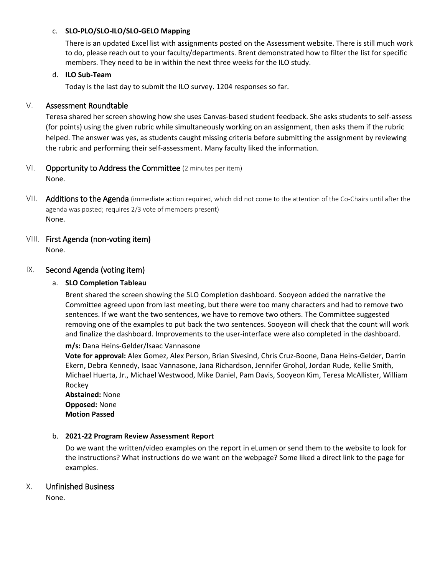### c. **SLO-PLO/SLO-ILO/SLO-GELO Mapping**

There is an updated Excel list with assignments posted on the Assessment website. There is still much work to do, please reach out to your faculty/departments. Brent demonstrated how to filter the list for specific members. They need to be in within the next three weeks for the ILO study.

### d. **ILO Sub-Team**

Today is the last day to submit the ILO survey. 1204 responses so far.

## V. Assessment Roundtable

Teresa shared her screen showing how she uses Canvas-based student feedback. She asks students to self-assess (for points) using the given rubric while simultaneously working on an assignment, then asks them if the rubric helped. The answer was yes, as students caught missing criteria before submitting the assignment by reviewing the rubric and performing their self-assessment. Many faculty liked the information.

## VI. Opportunity to Address the Committee (2 minutes per item)

None.

- VII. Additions to the Agenda (immediate action required, which did not come to the attention of the Co-Chairs until after the agenda was posted; requires 2/3 vote of members present) None.
- VIII. First Agenda (non-voting item) None.

## IX. Second Agenda (voting item)

### a. **SLO Completion Tableau**

Brent shared the screen showing the SLO Completion dashboard. Sooyeon added the narrative the Committee agreed upon from last meeting, but there were too many characters and had to remove two sentences. If we want the two sentences, we have to remove two others. The Committee suggested removing one of the examples to put back the two sentences. Sooyeon will check that the count will work and finalize the dashboard. Improvements to the user-interface were also completed in the dashboard.

**m/s:** Dana Heins-Gelder/Isaac Vannasone

**Vote for approval:** Alex Gomez, Alex Person, Brian Sivesind, Chris Cruz-Boone, Dana Heins-Gelder, Darrin Ekern, Debra Kennedy, Isaac Vannasone, Jana Richardson, Jennifer Grohol, Jordan Rude, Kellie Smith, Michael Huerta, Jr., Michael Westwood, Mike Daniel, Pam Davis, Sooyeon Kim, Teresa McAllister, William Rockey

**Abstained:** None **Opposed:** None **Motion Passed**

### b. **2021-22 Program Review Assessment Report**

Do we want the written/video examples on the report in eLumen or send them to the website to look for the instructions? What instructions do we want on the webpage? Some liked a direct link to the page for examples.

## X. Unfinished Business

None.